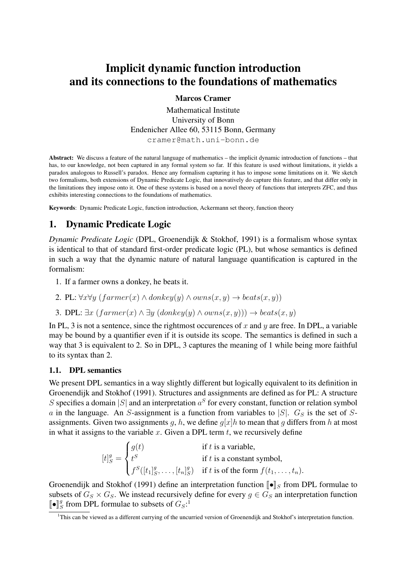# Implicit dynamic function introduction and its connections to the foundations of mathematics

Marcos Cramer

Mathematical Institute University of Bonn Endenicher Allee 60, 53115 Bonn, Germany cramer@math.uni-bonn.de

Abstract: We discuss a feature of the natural language of mathematics – the implicit dynamic introduction of functions – that has, to our knowledge, not been captured in any formal system so far. If this feature is used without limitations, it yields a paradox analogous to Russell's paradox. Hence any formalism capturing it has to impose some limitations on it. We sketch two formalisms, both extensions of Dynamic Predicate Logic, that innovatively do capture this feature, and that differ only in the limitations they impose onto it. One of these systems is based on a novel theory of functions that interprets ZFC, and thus exhibits interesting connections to the foundations of mathematics.

Keywords: Dynamic Predicate Logic, function introduction, Ackermann set theory, function theory

## 1. Dynamic Predicate Logic

*Dynamic Predicate Logic* (DPL, Groenendijk & Stokhof, 1991) is a formalism whose syntax is identical to that of standard first-order predicate logic (PL), but whose semantics is defined in such a way that the dynamic nature of natural language quantification is captured in the formalism:

- 1. If a farmer owns a donkey, he beats it.
- 2. PL:  $\forall x \forall y \ (farmer(x) \land donkey(y) \land owns(x, y) \rightarrow beats(x, y))$
- 3. DPL:  $\exists x \ (farrmer(x) \land \exists y \ (donkey(y) \land owns(x, y))) \rightarrow beats(x, y)$

In PL, 3 is not a sentence, since the rightmost occurences of x and y are free. In DPL, a variable may be bound by a quantifier even if it is outside its scope. The semantics is defined in such a way that 3 is equivalent to 2. So in DPL, 3 captures the meaning of 1 while being more faithful to its syntax than 2.

#### 1.1. DPL semantics

We present DPL semantics in a way slightly different but logically equivalent to its definition in Groenendijk and Stokhof (1991). Structures and assignments are defined as for PL: A structure S specifies a domain |S| and an interpretation  $a^S$  for every constant, function or relation symbol a in the language. An S-assignment is a function from variables to  $|S|$ .  $G_S$  is the set of Sassignments. Given two assignments q, h, we define  $q[x]h$  to mean that q differs from h at most in what it assigns to the variable x. Given a DPL term  $t$ , we recursively define

$$
[t]_S^g = \begin{cases} g(t) & \text{if } t \text{ is a variable,} \\ t^S & \text{if } t \text{ is a constant symbol,} \\ f^S([t_1]_S^g, \dots, [t_n]_S^g) & \text{if } t \text{ is of the form } f(t_1, \dots, t_n). \end{cases}
$$

Groenendijk and Stokhof (1991) define an interpretation function  $\llbracket \bullet \rrbracket_S$  from DPL formulae to subsets of  $G_S \times G_S$ . We instead recursively define for every  $g \in G_S$  an interpretation function  $\mathbf{I} \bullet \mathbf{I}^g_S$  $S^g$  from DPL formulae to subsets of  $G_S$ :<sup>1</sup>

<sup>&</sup>lt;sup>1</sup>This can be viewed as a different currying of the uncurried version of Groenendijk and Stokhof's interpretation function.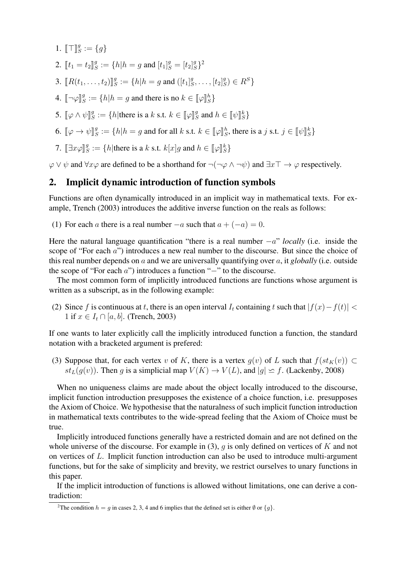- 1.  $\llbracket \top \rrbracket_{S}^{g}$  $g^g := \{g\}$
- 2.  $[[t_1 = t_2]]_S^g$  $S^g := \{h | h = g \text{ and } [t_1]_S^g = [t_2]_S^g$  $S^g\}^2$
- 3.  $\llbracket R(t_1,\ldots,t_2) \rrbracket_S^g$  $S^g := \{h | h = g \text{ and } ([t_1]_S^g]$  $S_1^g, \ldots, [t_2]_S^g$  $_S^g$ )  $\in R^S$ }
- 4.  $[\neg \varphi]_S^g$  $S^g := \{ h | h = g \text{ and there is no } k \in [\![\varphi]\!]_S^h \}$
- 5.  $\llbracket \varphi \wedge \psi \rrbracket_s^g$  $S^g := \{h | \text{there is a } k \text{ s.t. } k \in [\![\varphi]\!]_S^g$  $S^g$  and  $h \in [\![\psi]\!]_S^k$
- 6.  $\llbracket \varphi \to \psi \rrbracket_{S}^{g}$  $S^g := \{h | h = g \text{ and for all } k \text{ s.t. } k \in [\![\varphi]\!]_S^h \text{, there is a } j \text{ s.t. } j \in [\![\psi]\!]_S^k \}$
- 7.  $[\exists x \varphi]_S^g$  $S^g := \{ h | \text{there is a } k \text{ s.t. } k[x]g \text{ and } h \in [\![\varphi]\!]_S^k \}$

 $\varphi \lor \psi$  and  $\forall x \varphi$  are defined to be a shorthand for  $\neg(\neg \varphi \land \neg \psi)$  and  $\exists x \top \rightarrow \varphi$  respectively.

### 2. Implicit dynamic introduction of function symbols

Functions are often dynamically introduced in an implicit way in mathematical texts. For example, Trench (2003) introduces the additive inverse function on the reals as follows:

(1) For each a there is a real number  $-a$  such that  $a + (-a) = 0$ .

Here the natural language quantification "there is a real number −a" *locally* (i.e. inside the scope of "For each a") introduces a new real number to the discourse. But since the choice of this real number depends on a and we are universally quantifying over a, it *globally* (i.e. outside the scope of "For each a") introduces a function "−" to the discourse.

The most common form of implicitly introduced functions are functions whose argument is written as a subscript, as in the following example:

(2) Since f is continuous at t, there is an open interval  $I_t$  containing t such that  $|f(x)-f(t)| <$ 1 if  $x \in I_t \cap [a, b]$ . (Trench, 2003)

If one wants to later explicitly call the implicitly introduced function a function, the standard notation with a bracketed argument is prefered:

(3) Suppose that, for each vertex v of K, there is a vertex  $g(v)$  of L such that  $f(st_K(v)) \subset$  $st_L(g(v))$ . Then g is a simplicial map  $V(K) \to V(L)$ , and  $|g| \simeq f$ . (Lackenby, 2008)

When no uniqueness claims are made about the object locally introduced to the discourse, implicit function introduction presupposes the existence of a choice function, i.e. presupposes the Axiom of Choice. We hypothesise that the naturalness of such implicit function introduction in mathematical texts contributes to the wide-spread feeling that the Axiom of Choice must be true.

Implicitly introduced functions generally have a restricted domain and are not defined on the whole universe of the discourse. For example in (3), q is only defined on vertices of K and not on vertices of L. Implicit function introduction can also be used to introduce multi-argument functions, but for the sake of simplicity and brevity, we restrict ourselves to unary functions in this paper.

If the implicit introduction of functions is allowed without limitations, one can derive a contradiction:

<sup>&</sup>lt;sup>2</sup>The condition  $h = q$  in cases 2, 3, 4 and 6 implies that the defined set is either  $\emptyset$  or  $\{q\}$ .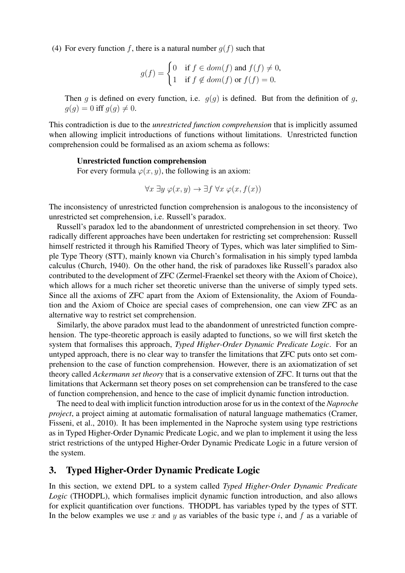(4) For every function f, there is a natural number  $g(f)$  such that

$$
g(f) = \begin{cases} 0 & \text{if } f \in dom(f) \text{ and } f(f) \neq 0, \\ 1 & \text{if } f \notin dom(f) \text{ or } f(f) = 0. \end{cases}
$$

Then q is defined on every function, i.e.  $q(q)$  is defined. But from the definition of q,  $q(q) = 0$  iff  $q(q) \neq 0$ .

This contradiction is due to the *unrestricted function comprehension* that is implicitly assumed when allowing implicit introductions of functions without limitations. Unrestricted function comprehension could be formalised as an axiom schema as follows:

#### Unrestricted function comprehension

For every formula  $\varphi(x, y)$ , the following is an axiom:

$$
\forall x \ \exists y \ \varphi(x, y) \rightarrow \exists f \ \forall x \ \varphi(x, f(x))
$$

The inconsistency of unrestricted function comprehension is analogous to the inconsistency of unrestricted set comprehension, i.e. Russell's paradox.

Russell's paradox led to the abandonment of unrestricted comprehension in set theory. Two radically different approaches have been undertaken for restricting set comprehension: Russell himself restricted it through his Ramified Theory of Types, which was later simplified to Simple Type Theory (STT), mainly known via Church's formalisation in his simply typed lambda calculus (Church, 1940). On the other hand, the risk of paradoxes like Russell's paradox also contributed to the development of ZFC (Zermel-Fraenkel set theory with the Axiom of Choice), which allows for a much richer set theoretic universe than the universe of simply typed sets. Since all the axioms of ZFC apart from the Axiom of Extensionality, the Axiom of Foundation and the Axiom of Choice are special cases of comprehension, one can view ZFC as an alternative way to restrict set comprehension.

Similarly, the above paradox must lead to the abandonment of unrestricted function comprehension. The type-theoretic approach is easily adapted to functions, so we will first sketch the system that formalises this approach, *Typed Higher-Order Dynamic Predicate Logic*. For an untyped approach, there is no clear way to transfer the limitations that ZFC puts onto set comprehension to the case of function comprehension. However, there is an axiomatization of set theory called *Ackermann set theory* that is a conservative extension of ZFC. It turns out that the limitations that Ackermann set theory poses on set comprehension can be transfered to the case of function comprehension, and hence to the case of implicit dynamic function introduction.

The need to deal with implicit function introduction arose for us in the context of the *Naproche project*, a project aiming at automatic formalisation of natural language mathematics (Cramer, Fisseni, et al., 2010). It has been implemented in the Naproche system using type restrictions as in Typed Higher-Order Dynamic Predicate Logic, and we plan to implement it using the less strict restrictions of the untyped Higher-Order Dynamic Predicate Logic in a future version of the system.

#### 3. Typed Higher-Order Dynamic Predicate Logic

In this section, we extend DPL to a system called *Typed Higher-Order Dynamic Predicate Logic* (THODPL), which formalises implicit dynamic function introduction, and also allows for explicit quantification over functions. THODPL has variables typed by the types of STT. In the below examples we use x and y as variables of the basic type i, and f as a variable of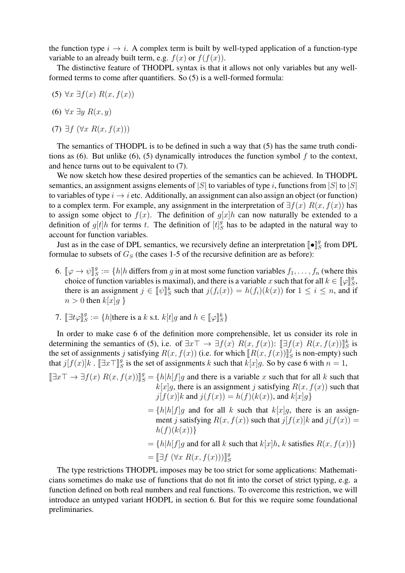the function type  $i \rightarrow i$ . A complex term is built by well-typed application of a function-type variable to an already built term, e.g.  $f(x)$  or  $f(f(x))$ .

The distinctive feature of THODPL syntax is that it allows not only variables but any wellformed terms to come after quantifiers. So (5) is a well-formed formula:

- (5)  $\forall x \exists f(x) R(x, f(x))$
- (6)  $\forall x \exists y \ R(x, y)$
- (7)  $\exists f$   $(\forall x R(x, f(x)))$

The semantics of THODPL is to be defined in such a way that (5) has the same truth conditions as (6). But unlike (6), (5) dynamically introduces the function symbol  $f$  to the context, and hence turns out to be equivalent to (7).

We now sketch how these desired properties of the semantics can be achieved. In THODPL semantics, an assignment assigns elements of |S| to variables of type i, functions from |S| to |S| to variables of type  $i \rightarrow i$  etc. Additionally, an assignment can also assign an object (or function) to a complex term. For example, any assignment in the interpretation of  $\exists f(x) R(x, f(x))$  has to assign some object to  $f(x)$ . The definition of  $g[x]h$  can now naturally be extended to a definition of  $g[t]h$  for terms t. The definition of  $[t]_S^g$  $S<sub>S</sub><sup>g</sup>$  has to be adapted in the natural way to account for function variables.

Just as in the case of DPL semantics, we recursively define an interpretation  $\llbracket \bullet \rrbracket_{\mathcal{E}}^{\text{max}}$  $S<sup>g</sup>$  from DPL formulae to subsets of  $G<sub>S</sub>$  (the cases 1-5 of the recursive definition are as before):

- 6.  $\llbracket \varphi \to \psi \rrbracket_{S}^{g}$ <br>choice of 1  $S^g_S := \{h | h \text{ differs from } g \text{ in at most some function variables } f_1, \ldots, f_n \text{ (where this)}\}$ choice of function variables is maximal), and there is a variable x such that for all  $k \in [\![\varphi]\!]_k^k$ <br>there is an assignment  $i \in [\![\phi]\!]_k^k$  such that  $i(f(x)) = h(f)(h(x))$  for  $1 \le i \le n$ , and is  $^g_S,$ there is an assignment  $j \in [\![\psi]\!]_S^k$  such that  $j(f_i(x)) = h(f_i)(k(x))$  for  $1 \le i \le n$ , and if  $n > 0$  then  $k[x]_q$  }
- 7.  $[\exists t \varphi]_S^g$  $S^g := \{ h | \text{there is a } k \text{ s.t. } k[t]g \text{ and } h \in [\![\varphi]\!]_S^k \}$

In order to make case 6 of the definition more comprehensible, let us consider its role in determining the semantics of (5), i.e. of  $\exists x \top \rightarrow \exists f(x) \ R(x, f(x))$ :  $[\exists f(x) \ R(x, f(x))]_S^k$  is<br>the set of assignments *i* satisfying  $R(x, f(x))$  (i.e. for which  $[R(x, f(x))]$ ) is non empty) such the set of assignments j satisfying  $R(x, f(x))$  (i.e. for which  $\left[ R(x, f(x)) \right]$ )  $S<sub>S</sub>$  is non-empty) such that  $j[f(x)]k$  .  $[\exists x \top]_S^g$  $S<sup>g</sup>$  is the set of assignments k such that  $k[x]g$ . So by case 6 with  $n=1$ ,

 $[\exists x \top \rightarrow \exists f(x) R(x, f(x))]_S^g = \{h|h[f]g$  and there is a variable x such that for all k such that  $k[x]g$ , there is an assignment j satisfying  $R(x, f(x))$  such that  $j[f(x)]k$  and  $j(f(x)) = h(f)(k(x))$ , and  $k[x]q$  $=\{h|h[f]g\text{ and for all }k\text{ such that }k[x]g\text{, there is an assign-}$ ment j satisfying  $R(x, f(x))$  such that  $j[f(x)]k$  and  $j(f(x)) =$  $h(f)(k(x))$ }  $=\{h|h|f|q$  and for all k such that  $k[x]h$ , k satisfies  $R(x, f(x))\}$ 

 $=\left[\exists f\ (\forall x\ R(x,f(x)))\right]_S^g$ S

The type restrictions THODPL imposes may be too strict for some applications: Mathematicians sometimes do make use of functions that do not fit into the corset of strict typing, e.g. a function defined on both real numbers and real functions. To overcome this restriction, we will introduce an untyped variant HODPL in section 6. But for this we require some foundational preliminaries.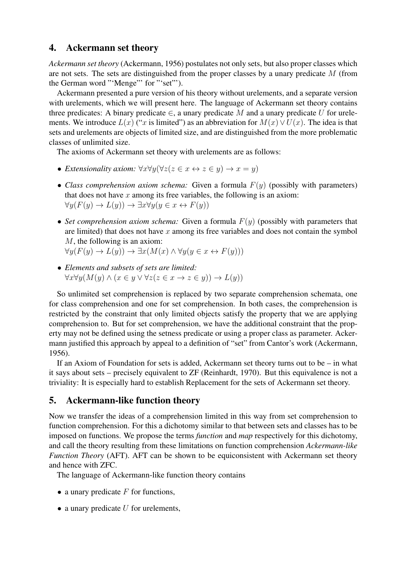### 4. Ackermann set theory

*Ackermann set theory* (Ackermann, 1956) postulates not only sets, but also proper classes which are not sets. The sets are distinguished from the proper classes by a unary predicate M (from the German word "'Menge"' for "'set"').

Ackermann presented a pure version of his theory without urelements, and a separate version with urelements, which we will present here. The language of Ackermann set theory contains three predicates: A binary predicate  $\in$ , a unary predicate M and a unary predicate U for urelements. We introduce  $L(x)$  ("x is limited") as an abbreviation for  $M(x) \vee U(x)$ . The idea is that sets and urelements are objects of limited size, and are distinguished from the more problematic classes of unlimited size.

The axioms of Ackermann set theory with urelements are as follows:

- *Extensionality axiom:*  $\forall x \forall y (\forall z (z \in x \leftrightarrow z \in y) \rightarrow x = y)$
- *Class comprehension axiom schema:* Given a formula  $F(y)$  (possibly with parameters) that does not have  $x$  among its free variables, the following is an axiom:  $\forall y (F(y) \rightarrow L(y)) \rightarrow \exists x \forall y (y \in x \leftrightarrow F(y))$
- *Set comprehension axiom schema:* Given a formula  $F(y)$  (possibly with parameters that are limited) that does not have  $x$  among its free variables and does not contain the symbol M, the following is an axiom:  $\forall y(F(y) \to L(y)) \to \exists x(M(x) \land \forall y(y \in x \leftrightarrow F(y)))$
- *Elements and subsets of sets are limited:*
- $\forall x \forall y (M(y) \land (x \in y \lor \forall z (z \in x \rightarrow z \in y)) \rightarrow L(y))$

So unlimited set comprehension is replaced by two separate comprehension schemata, one for class comprehension and one for set comprehension. In both cases, the comprehension is restricted by the constraint that only limited objects satisfy the property that we are applying comprehension to. But for set comprehension, we have the additional constraint that the property may not be defined using the setness predicate or using a proper class as parameter. Ackermann justified this approach by appeal to a definition of "set" from Cantor's work (Ackermann, 1956).

If an Axiom of Foundation for sets is added, Ackermann set theory turns out to be – in what it says about sets – precisely equivalent to ZF (Reinhardt, 1970). But this equivalence is not a triviality: It is especially hard to establish Replacement for the sets of Ackermann set theory.

### 5. Ackermann-like function theory

Now we transfer the ideas of a comprehension limited in this way from set comprehension to function comprehension. For this a dichotomy similar to that between sets and classes has to be imposed on functions. We propose the terms *function* and *map* respectively for this dichotomy, and call the theory resulting from these limitations on function comprehension *Ackermann-like Function Theory* (AFT). AFT can be shown to be equiconsistent with Ackermann set theory and hence with ZFC.

- The language of Ackermann-like function theory contains
- a unary predicate  $F$  for functions,
- $\bullet$  a unary predicate U for urelements,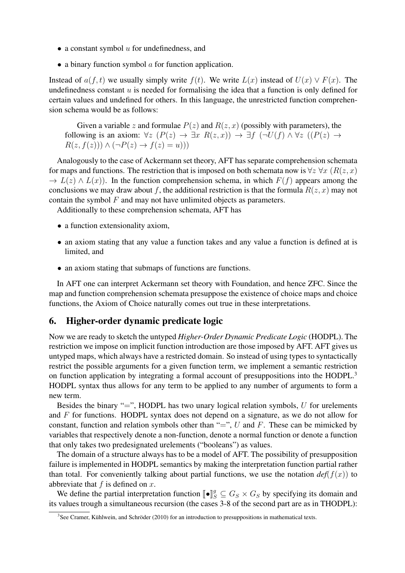- $\bullet$  a constant symbol  $u$  for undefinedness, and
- a binary function symbol  $\alpha$  for function application.

Instead of  $a(f, t)$  we usually simply write  $f(t)$ . We write  $L(x)$  instead of  $U(x) \vee F(x)$ . The undefinedness constant  $u$  is needed for formalising the idea that a function is only defined for certain values and undefined for others. In this language, the unrestricted function comprehension schema would be as follows:

Given a variable z and formulae  $P(z)$  and  $R(z, x)$  (possibly with parameters), the following is an axiom:  $\forall z$   $(P(z) \rightarrow \exists x R(z,x)) \rightarrow \exists f (\neg U(f) \land \forall z ((P(z) \rightarrow$  $R(z, f(z))$ )  $\wedge (\neg P(z) \rightarrow f(z) = u))$ 

Analogously to the case of Ackermann set theory, AFT has separate comprehension schemata for maps and functions. The restriction that is imposed on both schemata now is  $\forall z \forall x (R(z, x))$  $\rightarrow L(z) \wedge L(x)$ . In the function comprehension schema, in which  $F(f)$  appears among the conclusions we may draw about f, the additional restriction is that the formula  $R(z, x)$  may not contain the symbol  $F$  and may not have unlimited objects as parameters.

Additionally to these comprehension schemata, AFT has

- a function extensionality axiom,
- an axiom stating that any value a function takes and any value a function is defined at is limited, and
- an axiom stating that submaps of functions are functions.

In AFT one can interpret Ackermann set theory with Foundation, and hence ZFC. Since the map and function comprehension schemata presuppose the existence of choice maps and choice functions, the Axiom of Choice naturally comes out true in these interpretations.

### 6. Higher-order dynamic predicate logic

Now we are ready to sketch the untyped *Higher-Order Dynamic Predicate Logic* (HODPL). The restriction we impose on implicit function introduction are those imposed by AFT. AFT gives us untyped maps, which always have a restricted domain. So instead of using types to syntactically restrict the possible arguments for a given function term, we implement a semantic restriction on function application by integrating a formal account of presuppositions into the HODPL.<sup>3</sup> HODPL syntax thus allows for any term to be applied to any number of arguments to form a new term.

Besides the binary "=", HODPL has two unary logical relation symbols,  $U$  for urelements and F for functions. HODPL syntax does not depend on a signature, as we do not allow for constant, function and relation symbols other than "=", U and F. These can be mimicked by variables that respectively denote a non-function, denote a normal function or denote a function that only takes two predesignated urelements ("booleans") as values.

The domain of a structure always has to be a model of AFT. The possibility of presupposition failure is implemented in HODPL semantics by making the interpretation function partial rather than total. For conveniently talking about partial functions, we use the notation  $def(f(x))$  to abbreviate that  $f$  is defined on  $x$ .

We define the partial interpretation function  $[\![\bullet]\!]_S^g \subseteq G_S \times G_S$  by specifying its domain and values trough a simultaneous reqursion (the cases 3.8 of the second part are as in THODDL). its values trough a simultaneous recursion (the cases 3-8 of the second part are as in THODPL):

 ${}^{3}$ See Cramer, Kühlwein, and Schröder (2010) for an introduction to presuppositions in mathematical texts.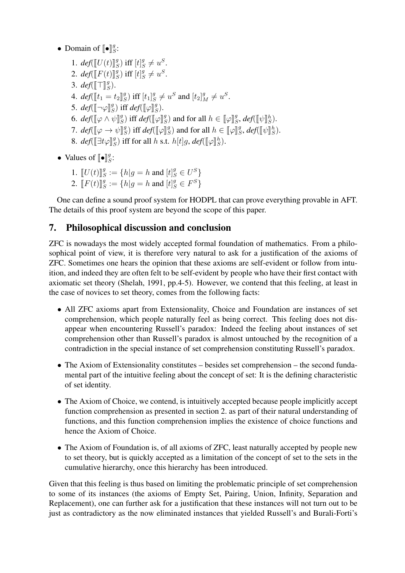- Domain of  $\llbracket \bullet \rrbracket_{S}^{g}$  $^g_S\cdot$ 
	- 1.  $\det \left( \left[ U(t) \right] \right)$ g<br>2.  $\lim_{L \to \infty} \left[ E(L) \right]$  $\binom{g}{S}$  iff  $[t]_S^g$  $s^g \neq u^S$ .
	- 2. *def*( $\llbracket F(t) \rrbracket_S^g$  $\binom{g}{S}$  iff  $[t]_S^g$  $s^g \neq u^S$ .
	- 3. *def*( $\llbracket \top \rrbracket_{S}^{g}$  $_S^g$ ).
	- 4.  $def([t_1 = t_2]]_S^g$ <br> $\zeta = \frac{1}{\sqrt{5}} e^{-\frac{\pi q}{2}}$  $S^g$ ) iff  $[t_1]_S^g$  $S^g \neq u^S$  and  $[t_2]_M^g \neq u^S$ .
	- 5.  $\det(\llbracket \neg \varphi \rrbracket_S^g)$  $\lim_{S \to \infty} \inf_{S} \text{def}(\llbracket \varphi \rrbracket_S^g)$  $\frac{g}{S}$ ).
	- 6.  $def([\varphi \wedge \psi]]_S^g$  $\lim_{S \to \infty} \inf_{S} \text{def}(\llbracket \varphi \rrbracket_S^g)$  $\binom{g}{S}$  and for all  $h \in [\![\varphi]\!]_S^g$  $\frac{g}{S}$ , *def*( $\llbracket \psi \rrbracket_S^h$ ).
	- 7.  $def([\varphi \rightarrow \psi]]_S^q$  $\binom{g}{S}$  iff *def*( $\llbracket \varphi \rrbracket_S^g$  $\binom{g}{S}$  and for all  $h \in [\![\varphi]\!]_S^q$  $S^g$ , *def*( $\llbracket \psi \rrbracket_S^h$ ).
	- 8. *def*( $\left[\exists t \varphi\right]_S^g$  $S(S)$  iff for all h s.t.  $h[t]g$ ,  $def([\![\varphi]\!]_S^h)$ .
- Values of  $\llbracket \bullet \rrbracket_{S}^{g}$  $^g_S\cdot$ 
	- 1.  $[U(t)]_S^g$  $S^g := \{ h | g = h \text{ and } [t]_S^g \in U^S \}$
	- 2.  $[ F(t) ]_{S}^{g}$  $S^g := \{ h | g = h \text{ and } [t]_S^g \in F^S \}$

One can define a sound proof system for HODPL that can prove everything provable in AFT. The details of this proof system are beyond the scope of this paper.

## 7. Philosophical discussion and conclusion

ZFC is nowadays the most widely accepted formal foundation of mathematics. From a philosophical point of view, it is therefore very natural to ask for a justification of the axioms of ZFC. Sometimes one hears the opinion that these axioms are self-evident or follow from intuition, and indeed they are often felt to be self-evident by people who have their first contact with axiomatic set theory (Shelah, 1991, pp.4-5). However, we contend that this feeling, at least in the case of novices to set theory, comes from the following facts:

- All ZFC axioms apart from Extensionality, Choice and Foundation are instances of set comprehension, which people naturally feel as being correct. This feeling does not disappear when encountering Russell's paradox: Indeed the feeling about instances of set comprehension other than Russell's paradox is almost untouched by the recognition of a contradiction in the special instance of set comprehension constituting Russell's paradox.
- The Axiom of Extensionality constitutes besides set comprehension the second fundamental part of the intuitive feeling about the concept of set: It is the defining characteristic of set identity.
- The Axiom of Choice, we contend, is intuitively accepted because people implicitly accept function comprehension as presented in section 2. as part of their natural understanding of functions, and this function comprehension implies the existence of choice functions and hence the Axiom of Choice.
- The Axiom of Foundation is, of all axioms of ZFC, least naturally accepted by people new to set theory, but is quickly accepted as a limitation of the concept of set to the sets in the cumulative hierarchy, once this hierarchy has been introduced.

Given that this feeling is thus based on limiting the problematic principle of set comprehension to some of its instances (the axioms of Empty Set, Pairing, Union, Infinity, Separation and Replacement), one can further ask for a justification that these instances will not turn out to be just as contradictory as the now eliminated instances that yielded Russell's and Burali-Forti's